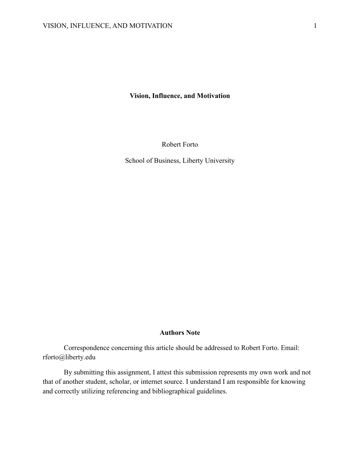**Vision, Influence, and Motivation**

Robert Forto

School of Business, Liberty University

#### **Authors Note**

Correspondence concerning this article should be addressed to Robert Forto. Email: rforto@liberty.edu

By submitting this assignment, I attest this submission represents my own work and not that of another student, scholar, or internet source. I understand I am responsible for knowing and correctly utilizing referencing and bibliographical guidelines.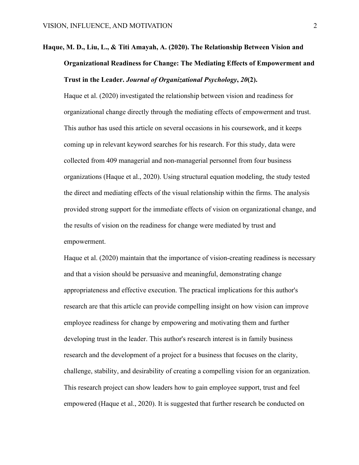# **Haque, M. D., Liu, L., & Titi Amayah, A. (2020). The Relationship Between Vision and Organizational Readiness for Change: The Mediating Effects of Empowerment and Trust in the Leader.** *Journal of Organizational Psychology***,** *20***(2).**

Haque et al. (2020) investigated the relationship between vision and readiness for organizational change directly through the mediating effects of empowerment and trust. This author has used this article on several occasions in his coursework, and it keeps coming up in relevant keyword searches for his research. For this study, data were collected from 409 managerial and non-managerial personnel from four business organizations (Haque et al., 2020). Using structural equation modeling, the study tested the direct and mediating effects of the visual relationship within the firms. The analysis provided strong support for the immediate effects of vision on organizational change, and the results of vision on the readiness for change were mediated by trust and empowerment.

Haque et al. (2020) maintain that the importance of vision-creating readiness is necessary and that a vision should be persuasive and meaningful, demonstrating change appropriateness and effective execution. The practical implications for this author's research are that this article can provide compelling insight on how vision can improve employee readiness for change by empowering and motivating them and further developing trust in the leader. This author's research interest is in family business research and the development of a project for a business that focuses on the clarity, challenge, stability, and desirability of creating a compelling vision for an organization. This research project can show leaders how to gain employee support, trust and feel empowered (Haque et al., 2020). It is suggested that further research be conducted on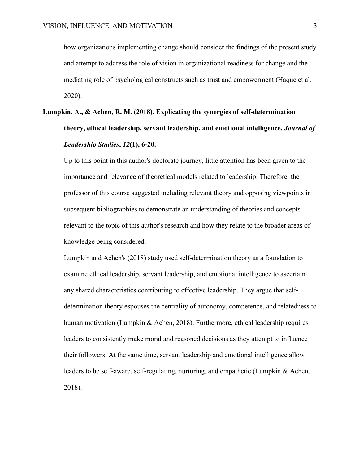how organizations implementing change should consider the findings of the present study and attempt to address the role of vision in organizational readiness for change and the mediating role of psychological constructs such as trust and empowerment (Haque et al. 2020).

# **Lumpkin, A., & Achen, R. M. (2018). Explicating the synergies of self‐determination theory, ethical leadership, servant leadership, and emotional intelligence.** *Journal of Leadership Studies***,** *12***(1), 6-20.**

Up to this point in this author's doctorate journey, little attention has been given to the importance and relevance of theoretical models related to leadership. Therefore, the professor of this course suggested including relevant theory and opposing viewpoints in subsequent bibliographies to demonstrate an understanding of theories and concepts relevant to the topic of this author's research and how they relate to the broader areas of knowledge being considered.

Lumpkin and Achen's (2018) study used self-determination theory as a foundation to examine ethical leadership, servant leadership, and emotional intelligence to ascertain any shared characteristics contributing to effective leadership. They argue that selfdetermination theory espouses the centrality of autonomy, competence, and relatedness to human motivation (Lumpkin & Achen, 2018). Furthermore, ethical leadership requires leaders to consistently make moral and reasoned decisions as they attempt to influence their followers. At the same time, servant leadership and emotional intelligence allow leaders to be self-aware, self-regulating, nurturing, and empathetic (Lumpkin & Achen, 2018).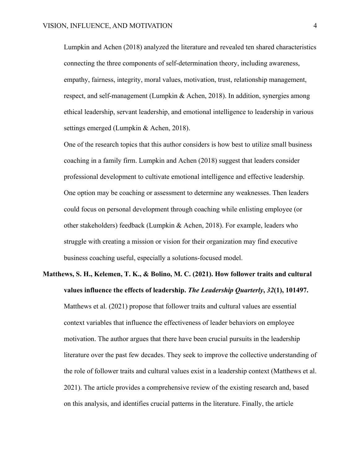Lumpkin and Achen (2018) analyzed the literature and revealed ten shared characteristics connecting the three components of self-determination theory, including awareness, empathy, fairness, integrity, moral values, motivation, trust, relationship management, respect, and self-management (Lumpkin & Achen, 2018). In addition, synergies among ethical leadership, servant leadership, and emotional intelligence to leadership in various settings emerged (Lumpkin & Achen, 2018).

One of the research topics that this author considers is how best to utilize small business coaching in a family firm. Lumpkin and Achen (2018) suggest that leaders consider professional development to cultivate emotional intelligence and effective leadership. One option may be coaching or assessment to determine any weaknesses. Then leaders could focus on personal development through coaching while enlisting employee (or other stakeholders) feedback (Lumpkin & Achen, 2018). For example, leaders who struggle with creating a mission or vision for their organization may find executive business coaching useful, especially a solutions-focused model.

# **Matthews, S. H., Kelemen, T. K., & Bolino, M. C. (2021). How follower traits and cultural values influence the effects of leadership.** *The Leadership Quarterly***,** *32***(1), 101497.** Matthews et al. (2021) propose that follower traits and cultural values are essential context variables that influence the effectiveness of leader behaviors on employee motivation. The author argues that there have been crucial pursuits in the leadership literature over the past few decades. They seek to improve the collective understanding of the role of follower traits and cultural values exist in a leadership context (Matthews et al. 2021). The article provides a comprehensive review of the existing research and, based on this analysis, and identifies crucial patterns in the literature. Finally, the article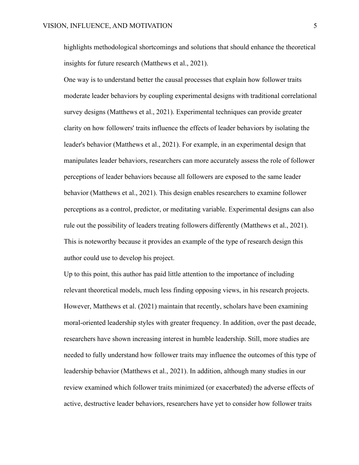highlights methodological shortcomings and solutions that should enhance the theoretical insights for future research (Matthews et al., 2021).

One way is to understand better the causal processes that explain how follower traits moderate leader behaviors by coupling experimental designs with traditional correlational survey designs (Matthews et al., 2021). Experimental techniques can provide greater clarity on how followers' traits influence the effects of leader behaviors by isolating the leader's behavior (Matthews et al., 2021). For example, in an experimental design that manipulates leader behaviors, researchers can more accurately assess the role of follower perceptions of leader behaviors because all followers are exposed to the same leader behavior (Matthews et al., 2021). This design enables researchers to examine follower perceptions as a control, predictor, or meditating variable. Experimental designs can also rule out the possibility of leaders treating followers differently (Matthews et al., 2021). This is noteworthy because it provides an example of the type of research design this author could use to develop his project.

Up to this point, this author has paid little attention to the importance of including relevant theoretical models, much less finding opposing views, in his research projects. However, Matthews et al. (2021) maintain that recently, scholars have been examining moral-oriented leadership styles with greater frequency. In addition, over the past decade, researchers have shown increasing interest in humble leadership. Still, more studies are needed to fully understand how follower traits may influence the outcomes of this type of leadership behavior (Matthews et al., 2021). In addition, although many studies in our review examined which follower traits minimized (or exacerbated) the adverse effects of active, destructive leader behaviors, researchers have yet to consider how follower traits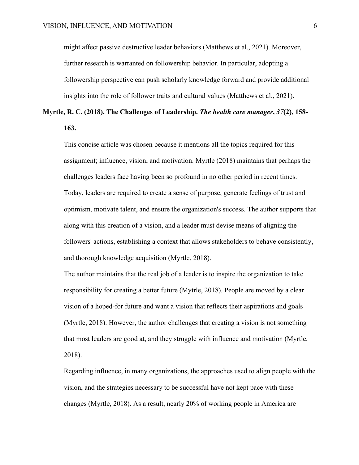might affect passive destructive leader behaviors (Matthews et al., 2021). Moreover, further research is warranted on followership behavior. In particular, adopting a followership perspective can push scholarly knowledge forward and provide additional insights into the role of follower traits and cultural values (Matthews et al., 2021).

### **Myrtle, R. C. (2018). The Challenges of Leadership.** *The health care manager***,** *37***(2), 158- 163.**

This concise article was chosen because it mentions all the topics required for this assignment; influence, vision, and motivation. Myrtle (2018) maintains that perhaps the challenges leaders face having been so profound in no other period in recent times. Today, leaders are required to create a sense of purpose, generate feelings of trust and optimism, motivate talent, and ensure the organization's success. The author supports that along with this creation of a vision, and a leader must devise means of aligning the followers' actions, establishing a context that allows stakeholders to behave consistently, and thorough knowledge acquisition (Myrtle, 2018).

The author maintains that the real job of a leader is to inspire the organization to take responsibility for creating a better future (Mytrle, 2018). People are moved by a clear vision of a hoped-for future and want a vision that reflects their aspirations and goals (Myrtle, 2018). However, the author challenges that creating a vision is not something that most leaders are good at, and they struggle with influence and motivation (Myrtle, 2018).

Regarding influence, in many organizations, the approaches used to align people with the vision, and the strategies necessary to be successful have not kept pace with these changes (Myrtle, 2018). As a result, nearly 20% of working people in America are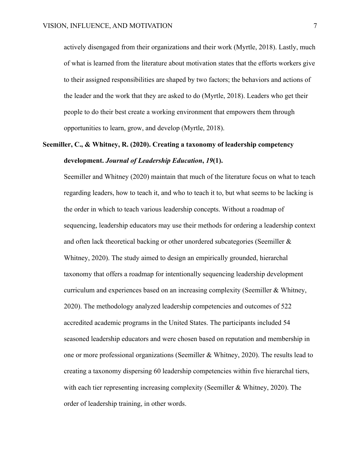actively disengaged from their organizations and their work (Myrtle, 2018). Lastly, much of what is learned from the literature about motivation states that the efforts workers give to their assigned responsibilities are shaped by two factors; the behaviors and actions of the leader and the work that they are asked to do (Myrtle, 2018). Leaders who get their people to do their best create a working environment that empowers them through opportunities to learn, grow, and develop (Myrtle, 2018).

### **Seemiller, C., & Whitney, R. (2020). Creating a taxonomy of leadership competency development.** *Journal of Leadership Education***,** *19***(1).**

Seemiller and Whitney (2020) maintain that much of the literature focus on what to teach regarding leaders, how to teach it, and who to teach it to, but what seems to be lacking is the order in which to teach various leadership concepts. Without a roadmap of sequencing, leadership educators may use their methods for ordering a leadership context and often lack theoretical backing or other unordered subcategories (Seemiller & Whitney, 2020). The study aimed to design an empirically grounded, hierarchal taxonomy that offers a roadmap for intentionally sequencing leadership development curriculum and experiences based on an increasing complexity (Seemiller & Whitney, 2020). The methodology analyzed leadership competencies and outcomes of 522 accredited academic programs in the United States. The participants included 54 seasoned leadership educators and were chosen based on reputation and membership in one or more professional organizations (Seemiller & Whitney, 2020). The results lead to creating a taxonomy dispersing 60 leadership competencies within five hierarchal tiers, with each tier representing increasing complexity (Seemiller & Whitney, 2020). The order of leadership training, in other words.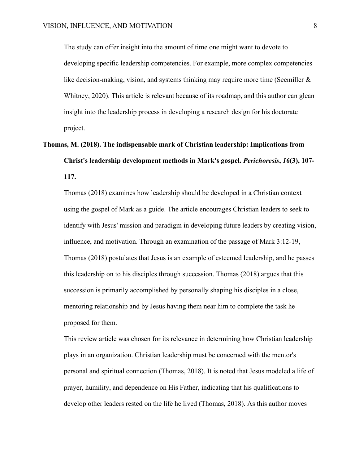The study can offer insight into the amount of time one might want to devote to developing specific leadership competencies. For example, more complex competencies like decision-making, vision, and systems thinking may require more time (Seemiller & Whitney, 2020). This article is relevant because of its roadmap, and this author can glean insight into the leadership process in developing a research design for his doctorate project.

**Thomas, M. (2018). The indispensable mark of Christian leadership: Implications from Christ's leadership development methods in Mark's gospel.** *Perichoresis***,** *16***(3), 107- 117.**

Thomas (2018) examines how leadership should be developed in a Christian context using the gospel of Mark as a guide. The article encourages Christian leaders to seek to identify with Jesus' mission and paradigm in developing future leaders by creating vision, influence, and motivation. Through an examination of the passage of Mark 3:12-19, Thomas (2018) postulates that Jesus is an example of esteemed leadership, and he passes this leadership on to his disciples through succession. Thomas (2018) argues that this succession is primarily accomplished by personally shaping his disciples in a close, mentoring relationship and by Jesus having them near him to complete the task he proposed for them.

This review article was chosen for its relevance in determining how Christian leadership plays in an organization. Christian leadership must be concerned with the mentor's personal and spiritual connection (Thomas, 2018). It is noted that Jesus modeled a life of prayer, humility, and dependence on His Father, indicating that his qualifications to develop other leaders rested on the life he lived (Thomas, 2018). As this author moves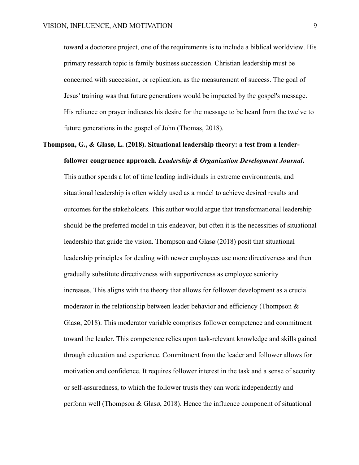toward a doctorate project, one of the requirements is to include a biblical worldview. His primary research topic is family business succession. Christian leadership must be concerned with succession, or replication, as the measurement of success. The goal of Jesus' training was that future generations would be impacted by the gospel's message. His reliance on prayer indicates his desire for the message to be heard from the twelve to future generations in the gospel of John (Thomas, 2018).

### **Thompson, G., & Glasø, L. (2018). Situational leadership theory: a test from a leaderfollower congruence approach.** *Leadership & Organization Development Journal***.**

This author spends a lot of time leading individuals in extreme environments, and situational leadership is often widely used as a model to achieve desired results and outcomes for the stakeholders. This author would argue that transformational leadership should be the preferred model in this endeavor, but often it is the necessities of situational leadership that guide the vision. Thompson and Glasø (2018) posit that situational leadership principles for dealing with newer employees use more directiveness and then gradually substitute directiveness with supportiveness as employee seniority increases. This aligns with the theory that allows for follower development as a crucial moderator in the relationship between leader behavior and efficiency (Thompson & Glasø, 2018). This moderator variable comprises follower competence and commitment toward the leader. This competence relies upon task-relevant knowledge and skills gained through education and experience. Commitment from the leader and follower allows for motivation and confidence. It requires follower interest in the task and a sense of security or self-assuredness, to which the follower trusts they can work independently and perform well (Thompson & Glasø, 2018). Hence the influence component of situational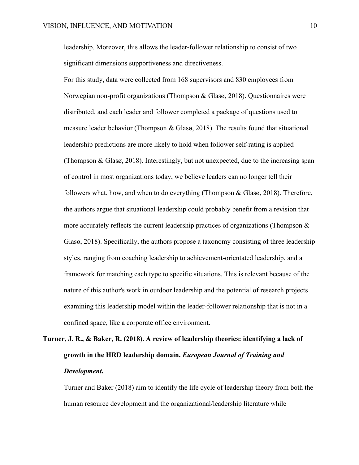leadership. Moreover, this allows the leader-follower relationship to consist of two significant dimensions supportiveness and directiveness.

For this study, data were collected from 168 supervisors and 830 employees from Norwegian non-profit organizations (Thompson & Glasø, 2018). Questionnaires were distributed, and each leader and follower completed a package of questions used to measure leader behavior (Thompson & Glasø, 2018). The results found that situational leadership predictions are more likely to hold when follower self-rating is applied (Thompson & Glasø, 2018). Interestingly, but not unexpected, due to the increasing span of control in most organizations today, we believe leaders can no longer tell their followers what, how, and when to do everything (Thompson & Glasø, 2018). Therefore, the authors argue that situational leadership could probably benefit from a revision that more accurately reflects the current leadership practices of organizations (Thompson  $\&$ Glasø, 2018). Specifically, the authors propose a taxonomy consisting of three leadership styles, ranging from coaching leadership to achievement-orientated leadership, and a framework for matching each type to specific situations. This is relevant because of the nature of this author's work in outdoor leadership and the potential of research projects examining this leadership model within the leader-follower relationship that is not in a confined space, like a corporate office environment.

# **Turner, J. R., & Baker, R. (2018). A review of leadership theories: identifying a lack of growth in the HRD leadership domain.** *European Journal of Training and Development***.**

Turner and Baker (2018) aim to identify the life cycle of leadership theory from both the human resource development and the organizational/leadership literature while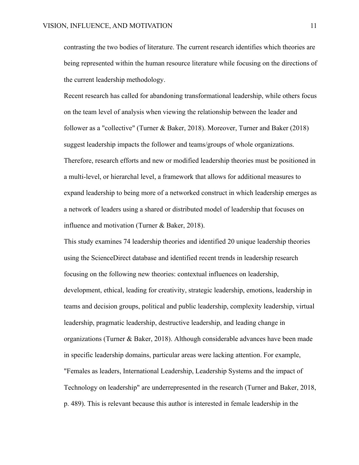contrasting the two bodies of literature. The current research identifies which theories are being represented within the human resource literature while focusing on the directions of the current leadership methodology.

Recent research has called for abandoning transformational leadership, while others focus on the team level of analysis when viewing the relationship between the leader and follower as a "collective" (Turner & Baker, 2018). Moreover, Turner and Baker (2018) suggest leadership impacts the follower and teams/groups of whole organizations. Therefore, research efforts and new or modified leadership theories must be positioned in a multi-level, or hierarchal level, a framework that allows for additional measures to expand leadership to being more of a networked construct in which leadership emerges as a network of leaders using a shared or distributed model of leadership that focuses on influence and motivation (Turner & Baker, 2018).

This study examines 74 leadership theories and identified 20 unique leadership theories using the ScienceDirect database and identified recent trends in leadership research focusing on the following new theories: contextual influences on leadership, development, ethical, leading for creativity, strategic leadership, emotions, leadership in teams and decision groups, political and public leadership, complexity leadership, virtual leadership, pragmatic leadership, destructive leadership, and leading change in organizations (Turner & Baker, 2018). Although considerable advances have been made in specific leadership domains, particular areas were lacking attention. For example, "Females as leaders, International Leadership, Leadership Systems and the impact of Technology on leadership" are underrepresented in the research (Turner and Baker, 2018, p. 489). This is relevant because this author is interested in female leadership in the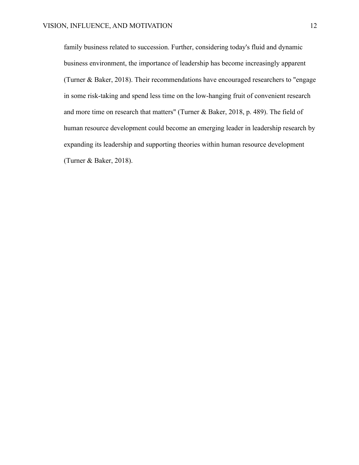family business related to succession. Further, considering today's fluid and dynamic business environment, the importance of leadership has become increasingly apparent (Turner & Baker, 2018). Their recommendations have encouraged researchers to "engage in some risk-taking and spend less time on the low-hanging fruit of convenient research and more time on research that matters" (Turner & Baker, 2018, p. 489). The field of human resource development could become an emerging leader in leadership research by expanding its leadership and supporting theories within human resource development (Turner & Baker, 2018).